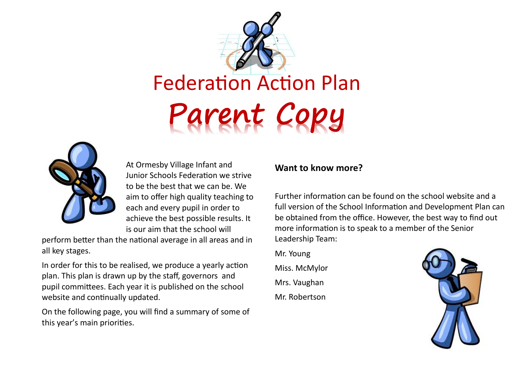



At Ormesby Village Infant and Junior Schools Federation we strive to be the best that we can be. We aim to offer high quality teaching to each and every pupil in order to achieve the best possible results. It is our aim that the school will

perform better than the national average in all areas and in all key stages.

In order for this to be realised, we produce a yearly action plan. This plan is drawn up by the staff, governors and pupil committees. Each year it is published on the school website and continually updated.

On the following page, you will find a summary of some of this year's main priorities.

#### **Want to know more?**

Further information can be found on the school website and a full version of the School Information and Development Plan can be obtained from the office. However, the best way to find out more information is to speak to a member of the Senior Leadership Team:

Mr. Young Miss. McMylor Mrs. Vaughan Mr. Robertson